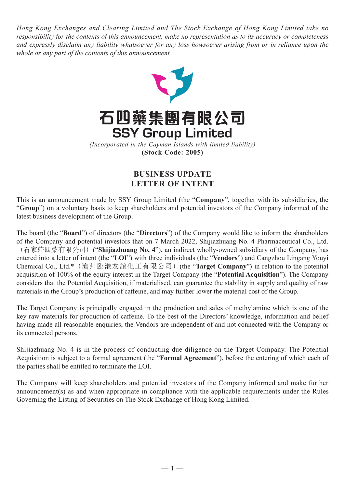*Hong Kong Exchanges and Clearing Limited and The Stock Exchange of Hong Kong Limited take no responsibility for the contents of this announcement, make no representation as to its accuracy or completeness and expressly disclaim any liability whatsoever for any loss howsoever arising from or in reliance upon the whole or any part of the contents of this announcement.*





*(Incorporated in the Cayman Islands with limited liability)* **(Stock Code: 2005)**

## **BUSINESS UPDATE LETTER OF INTENT**

This is an announcement made by SSY Group Limited (the "**Company**", together with its subsidiaries, the "**Group**") on a voluntary basis to keep shareholders and potential investors of the Company informed of the latest business development of the Group.

The board (the "**Board**") of directors (the "**Directors**") of the Company would like to inform the shareholders of the Company and potential investors that on 7 March 2022, Shijiazhuang No. 4 Pharmaceutical Co., Ltd. (石家莊四藥有限公司)("**Shijiazhuang No. 4**"), an indirect wholly-owned subsidiary of the Company, has entered into a letter of intent (the "**LOI**") with three individuals (the "**Vendors**") and Cangzhou Lingang Youyi Chemical Co., Ltd.\*(滄州臨港友誼化工有限公司)(the "**Target Company**") in relation to the potential acquisition of 100% of the equity interest in the Target Company (the "**Potential Acquisition**"). The Company considers that the Potential Acquisition, if materialised, can guarantee the stability in supply and quality of raw materials in the Group's production of caffeine, and may further lower the material cost of the Group.

The Target Company is principally engaged in the production and sales of methylamine which is one of the key raw materials for production of caffeine. To the best of the Directors' knowledge, information and belief having made all reasonable enquiries, the Vendors are independent of and not connected with the Company or its connected persons.

Shijiazhuang No. 4 is in the process of conducting due diligence on the Target Company. The Potential Acquisition is subject to a formal agreement (the "**Formal Agreement**"), before the entering of which each of the parties shall be entitled to terminate the LOI.

The Company will keep shareholders and potential investors of the Company informed and make further announcement(s) as and when appropriate in compliance with the applicable requirements under the Rules Governing the Listing of Securities on The Stock Exchange of Hong Kong Limited.